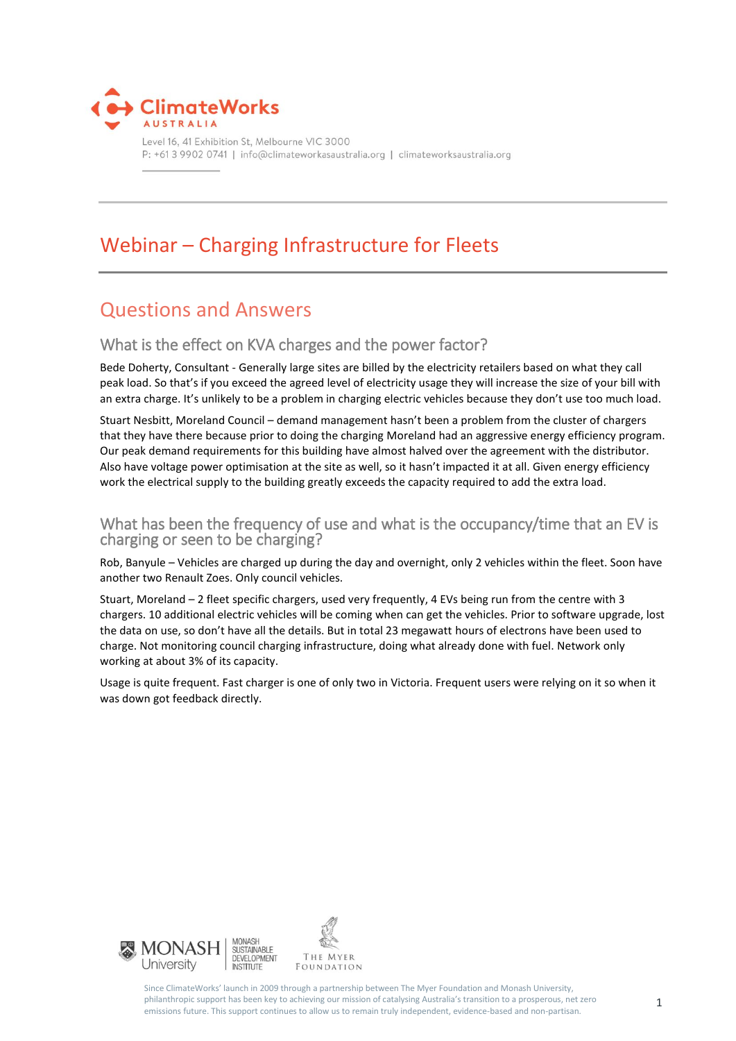

Level 16, 41 Exhibition St, Melbourne VIC 3000 P: +61 3 9902 0741 | info@climateworkasaustralia.org | climateworksaustralia.org

# Webinar – Charging Infrastructure for Fleets

## Questions and Answers

## What is the effect on KVA charges and the power factor?

Bede Doherty, Consultant - Generally large sites are billed by the electricity retailers based on what they call peak load. So that's if you exceed the agreed level of electricity usage they will increase the size of your bill with an extra charge. It's unlikely to be a problem in charging electric vehicles because they don't use too much load.

Stuart Nesbitt, Moreland Council – demand management hasn't been a problem from the cluster of chargers that they have there because prior to doing the charging Moreland had an aggressive energy efficiency program. Our peak demand requirements for this building have almost halved over the agreement with the distributor. Also have voltage power optimisation at the site as well, so it hasn't impacted it at all. Given energy efficiency work the electrical supply to the building greatly exceeds the capacity required to add the extra load.

## What has been the frequency of use and what is the occupancy/time that an EV is charging or seen to be charging?

Rob, Banyule – Vehicles are charged up during the day and overnight, only 2 vehicles within the fleet. Soon have another two Renault Zoes. Only council vehicles.

Stuart, Moreland – 2 fleet specific chargers, used very frequently, 4 EVs being run from the centre with 3 chargers. 10 additional electric vehicles will be coming when can get the vehicles. Prior to software upgrade, lost the data on use, so don't have all the details. But in total 23 megawatt hours of electrons have been used to charge. Not monitoring council charging infrastructure, doing what already done with fuel. Network only working at about 3% of its capacity.

Usage is quite frequent. Fast charger is one of only two in Victoria. Frequent users were relying on it so when it was down got feedback directly.



Since ClimateWorks' launch in 2009 through a partnership between The Myer Foundation and Monash University, philanthropic support has been key to achieving our mission of catalysing Australia's transition to a prosperous, net zero emissions future. This support continues to allow us to remain truly independent, evidence-based and non-partisan.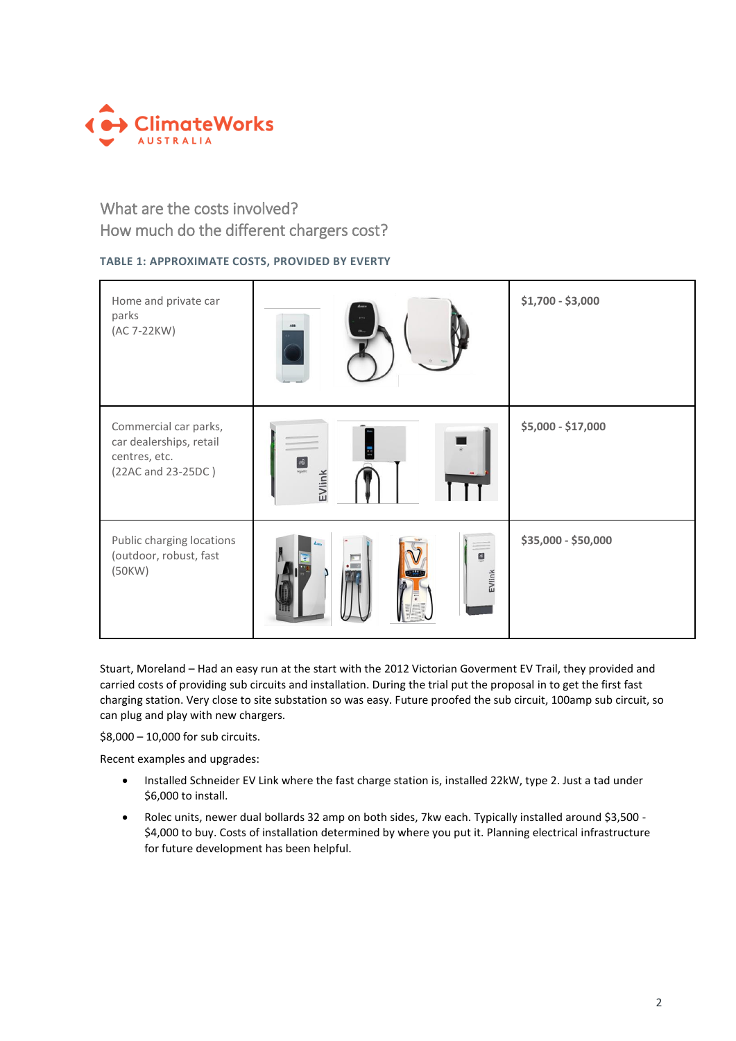

## What are the costs involved? How much do the different chargers cost?

### **TABLE 1: APPROXIMATE COSTS, PROVIDED BY EVERTY**

| Home and private car<br>parks<br>(AC 7-22KW)                                            | A33                    | \$1,700 - \$3,000   |
|-----------------------------------------------------------------------------------------|------------------------|---------------------|
| Commercial car parks,<br>car dealerships, retail<br>centres, etc.<br>(22AC and 23-25DC) | $\triangleq$<br>EVlink | \$5,000 - \$17,000  |
| Public charging locations<br>(outdoor, robust, fast<br>(50KW)                           | 3<br>g<br>EVlink       | \$35,000 - \$50,000 |

Stuart, Moreland – Had an easy run at the start with the 2012 Victorian Goverment EV Trail, they provided and carried costs of providing sub circuits and installation. During the trial put the proposal in to get the first fast charging station. Very close to site substation so was easy. Future proofed the sub circuit, 100amp sub circuit, so can plug and play with new chargers.

\$8,000 – 10,000 for sub circuits.

Recent examples and upgrades:

- Installed Schneider EV Link where the fast charge station is, installed 22kW, type 2. Just a tad under \$6,000 to install.
- Rolec units, newer dual bollards 32 amp on both sides, 7kw each. Typically installed around \$3,500 \$4,000 to buy. Costs of installation determined by where you put it. Planning electrical infrastructure for future development has been helpful.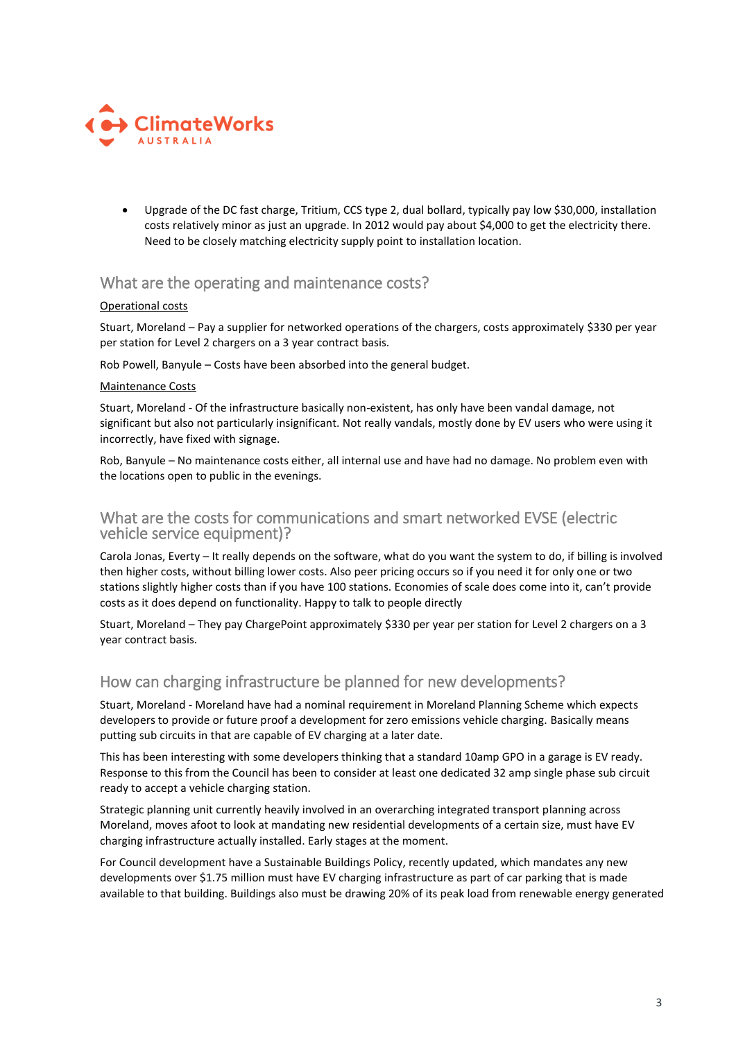

 Upgrade of the DC fast charge, Tritium, CCS type 2, dual bollard, typically pay low \$30,000, installation costs relatively minor as just an upgrade. In 2012 would pay about \$4,000 to get the electricity there. Need to be closely matching electricity supply point to installation location.

## What are the operating and maintenance costs?

#### Operational costs

Stuart, Moreland – Pay a supplier for networked operations of the chargers, costs approximately \$330 per year per station for Level 2 chargers on a 3 year contract basis.

Rob Powell, Banyule – Costs have been absorbed into the general budget.

#### Maintenance Costs

Stuart, Moreland - Of the infrastructure basically non-existent, has only have been vandal damage, not significant but also not particularly insignificant. Not really vandals, mostly done by EV users who were using it incorrectly, have fixed with signage.

Rob, Banyule – No maintenance costs either, all internal use and have had no damage. No problem even with the locations open to public in the evenings.

### What are the costs for communications and smart networked EVSE (electric vehicle service equipment)?

Carola Jonas, Everty – It really depends on the software, what do you want the system to do, if billing is involved then higher costs, without billing lower costs. Also peer pricing occurs so if you need it for only one or two stations slightly higher costs than if you have 100 stations. Economies of scale does come into it, can't provide costs as it does depend on functionality. Happy to talk to people directly

Stuart, Moreland – They pay ChargePoint approximately \$330 per year per station for Level 2 chargers on a 3 year contract basis.

## How can charging infrastructure be planned for new developments?

Stuart, Moreland - Moreland have had a nominal requirement in Moreland Planning Scheme which expects developers to provide or future proof a development for zero emissions vehicle charging. Basically means putting sub circuits in that are capable of EV charging at a later date.

This has been interesting with some developers thinking that a standard 10amp GPO in a garage is EV ready. Response to this from the Council has been to consider at least one dedicated 32 amp single phase sub circuit ready to accept a vehicle charging station.

Strategic planning unit currently heavily involved in an overarching integrated transport planning across Moreland, moves afoot to look at mandating new residential developments of a certain size, must have EV charging infrastructure actually installed. Early stages at the moment.

For Council development have a Sustainable Buildings Policy, recently updated, which mandates any new developments over \$1.75 million must have EV charging infrastructure as part of car parking that is made available to that building. Buildings also must be drawing 20% of its peak load from renewable energy generated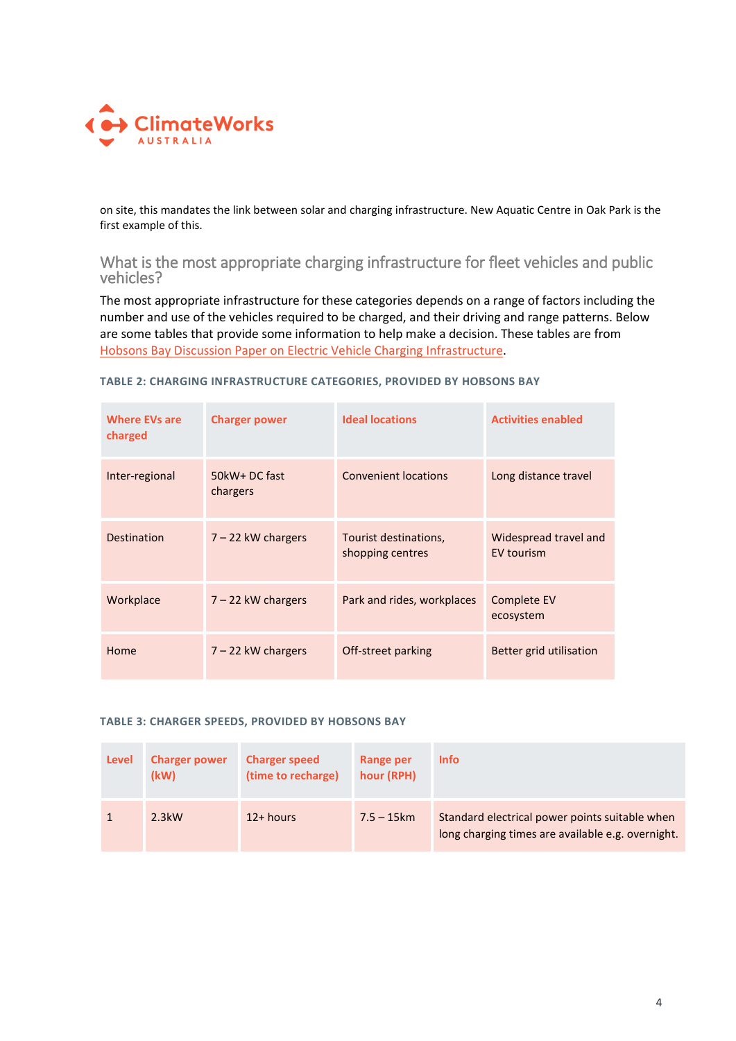

on site, this mandates the link between solar and charging infrastructure. New Aquatic Centre in Oak Park is the first example of this.

What is the most appropriate charging infrastructure for fleet vehicles and public vehicles?

The most appropriate infrastructure for these categories depends on a range of factors including the number and use of the vehicles required to be charged, and their driving and range patterns. Below are some tables that provide some information to help make a decision. These tables are from [Hobsons Bay Discussion Paper on Electric Vehicle Charging Infrastructure.](http://www.hobsonsbay.vic.gov.au/files/80c05e14-d6de-4ce3-a72b-b201c18bcee3/Appendix-08-Electric-Vehicle-Charging-Stations.pdf?streamFile=true?streamFile=true)

| <b>Where EVs are</b><br>charged | <b>Charger power</b>      | <b>Ideal locations</b>                    | <b>Activities enabled</b>           |
|---------------------------------|---------------------------|-------------------------------------------|-------------------------------------|
| Inter-regional                  | 50kW+ DC fast<br>chargers | <b>Convenient locations</b>               | Long distance travel                |
| <b>Destination</b>              | 7 - 22 kW chargers        | Tourist destinations,<br>shopping centres | Widespread travel and<br>EV tourism |
| Workplace                       | $7 - 22$ kW chargers      | Park and rides, workplaces                | Complete EV<br>ecosystem            |
| Home                            | $7 - 22$ kW chargers      | Off-street parking                        | Better grid utilisation             |

**TABLE 2: CHARGING INFRASTRUCTURE CATEGORIES, PROVIDED BY HOBSONS BAY**

#### **TABLE 3: CHARGER SPEEDS, PROVIDED BY HOBSONS BAY**

| Level | <b>Charger power</b><br>(kW) | <b>Charger speed</b><br>(time to recharge) | Range per<br>hour (RPH) | <b>Info</b>                                                                                         |
|-------|------------------------------|--------------------------------------------|-------------------------|-----------------------------------------------------------------------------------------------------|
|       | $2.3$ kW                     | 12+ hours                                  | $7.5 - 15km$            | Standard electrical power points suitable when<br>long charging times are available e.g. overnight. |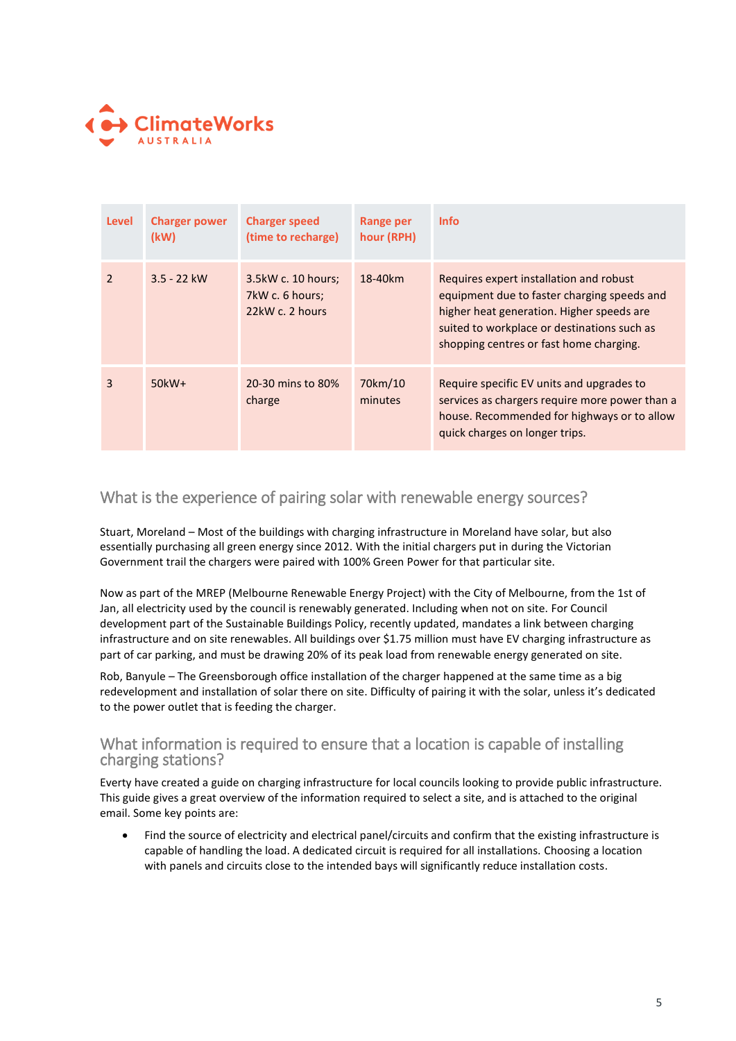

| <b>Level</b>   | <b>Charger power</b><br>(kW) | <b>Charger speed</b><br>(time to recharge)               | Range per<br>hour (RPH) | <b>Info</b>                                                                                                                                                                                                                   |
|----------------|------------------------------|----------------------------------------------------------|-------------------------|-------------------------------------------------------------------------------------------------------------------------------------------------------------------------------------------------------------------------------|
| $\mathfrak{p}$ | $3.5 - 22$ kW                | 3.5kW c. 10 hours;<br>7kW c. 6 hours;<br>22kW c. 2 hours | 18-40km                 | Requires expert installation and robust<br>equipment due to faster charging speeds and<br>higher heat generation. Higher speeds are<br>suited to workplace or destinations such as<br>shopping centres or fast home charging. |
| 3              | $50kW+$                      | 20-30 mins to 80%<br>charge                              | 70km/10<br>minutes      | Require specific EV units and upgrades to<br>services as chargers require more power than a<br>house. Recommended for highways or to allow<br>quick charges on longer trips.                                                  |

## What is the experience of pairing solar with renewable energy sources?

Stuart, Moreland – Most of the buildings with charging infrastructure in Moreland have solar, but also essentially purchasing all green energy since 2012. With the initial chargers put in during the Victorian Government trail the chargers were paired with 100% Green Power for that particular site.

Now as part of the MREP (Melbourne Renewable Energy Project) with the City of Melbourne, from the 1st of Jan, all electricity used by the council is renewably generated. Including when not on site. For Council development part of the Sustainable Buildings Policy, recently updated, mandates a link between charging infrastructure and on site renewables. All buildings over \$1.75 million must have EV charging infrastructure as part of car parking, and must be drawing 20% of its peak load from renewable energy generated on site.

Rob, Banyule – The Greensborough office installation of the charger happened at the same time as a big redevelopment and installation of solar there on site. Difficulty of pairing it with the solar, unless it's dedicated to the power outlet that is feeding the charger.

## What information is required to ensure that a location is capable of installing charging stations?

Everty have created a guide on charging infrastructure for local councils looking to provide public infrastructure. This guide gives a great overview of the information required to select a site, and is attached to the original email. Some key points are:

 Find the source of electricity and electrical panel/circuits and confirm that the existing infrastructure is capable of handling the load. A dedicated circuit is required for all installations. Choosing a location with panels and circuits close to the intended bays will significantly reduce installation costs.